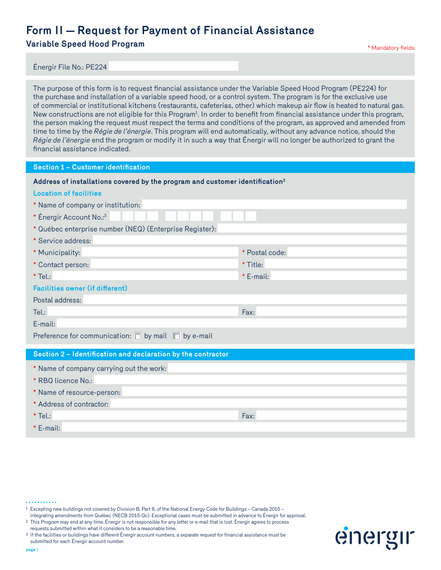**Variable Speed Hood Program and Superintensity of the Case of Australian Constantine Mandatory fields** 

Énergir File No.: PE224

The purpose of this form is to request financial assistance under the Variable Speed Hood Program (PE224) for the purchase and installation of a variable speed hood, or a control system. The program is for the exclusive use of commercial or institutional kitchens (restaurants, cafeterias, other) which makeup air flow is heated to natural gas. New constructions are not eligible for this Program<sup>1</sup>. In order to benefit from financial assistance under this program, the person making the request must respect the terms and conditions of the program, as approved and amended from time to time by the *Régie de l'énergie*. This program will end automatically, without any advance notice, should the *Régie de l'énergie* end the program or modify it in such a way that Énergir will no longer be authorized to grant the financial assistance indicated.

**Section 1 – Customer identification**

| Address of installations covered by the program and customer identification <sup>2</sup> |  |  |  |  |  |
|------------------------------------------------------------------------------------------|--|--|--|--|--|
|------------------------------------------------------------------------------------------|--|--|--|--|--|

| <b>Location of facilities</b>                                 |                |
|---------------------------------------------------------------|----------------|
| * Name of company or institution:                             |                |
| * Énergir Account No.:3                                       |                |
| * Québec enterprise number (NEQ) (Enterprise Register):       |                |
| * Service address:                                            |                |
| * Municipality:                                               | * Postal code: |
| * Contact person:                                             | * Title:       |
| $*$ Tel.:                                                     | * E-mail:      |
| <b>Facilities owner (if different)</b>                        |                |
| Postal address:                                               |                |
| Tel.:                                                         | Fax:           |
| E-mail:                                                       |                |
| Preference for communication: $\Box$ by mail $\Box$ by e-mail |                |
| Section 2 - Identification and declaration by the contractor  |                |
| * Name of company carrying out the work:                      |                |
| * RBQ licence No.:                                            |                |
| * Name of resource-person:                                    |                |
| * Address of contractor:                                      |                |
| $*$ Tel.:                                                     | Fax:           |

\* E-mail:

<sup>1</sup> Excepting new buildings not covered by Division B, Part 8, of the National Energy Code for Buildings – Canada 2015 –

integrating amendments from Québec (NECB 2015-Qc). Exceptional cases must be submitted in advance to Énergir for approval. <sup>2</sup> This Program may end at any time. Énergir is not responsible for any letter or e-mail that is lost. Énergir agrees to process requests submitted within what it considers to be a reasonable time.

<sup>3</sup> If the facilities or buildings have different Énergir account numbers, a separate request for financial assistance must be submitted for each Énergir account number.

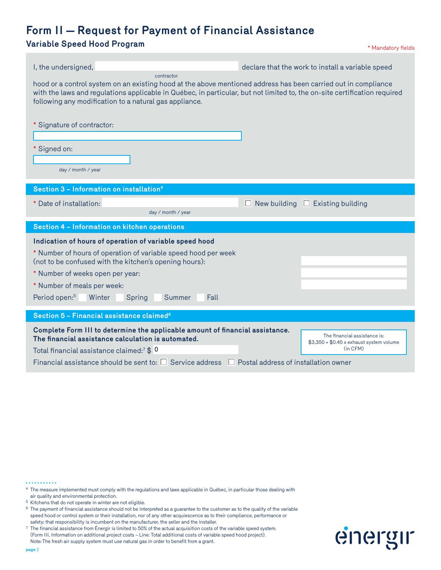### **Variable Speed Hood Program and Superior Controllering and Superior American Structure of the Mandatory fields**

| I, the undersigned,                                                                                                                                                                                                                                                                                                       | declare that the work to install a variable speed                                                                                 |
|---------------------------------------------------------------------------------------------------------------------------------------------------------------------------------------------------------------------------------------------------------------------------------------------------------------------------|-----------------------------------------------------------------------------------------------------------------------------------|
| contractor<br>hood or a control system on an existing hood at the above mentioned address has been carried out in compliance<br>with the laws and regulations applicable in Québec, in particular, but not limited to, the on-site certification required<br>following any modification to a natural gas appliance.       |                                                                                                                                   |
| * Signature of contractor:                                                                                                                                                                                                                                                                                                |                                                                                                                                   |
| * Signed on:<br>day / month / year                                                                                                                                                                                                                                                                                        |                                                                                                                                   |
| Section 3 - Information on installation <sup>4</sup>                                                                                                                                                                                                                                                                      |                                                                                                                                   |
| * Date of installation:<br>day / month / year                                                                                                                                                                                                                                                                             | New building<br>$\Box$ Existing building<br>П                                                                                     |
| Section 4 - Information on kitchen operations                                                                                                                                                                                                                                                                             |                                                                                                                                   |
| Indication of hours of operation of variable speed hood<br>* Number of hours of operation of variable speed hood per week<br>(not to be confused with the kitchen's opening hours):<br>* Number of weeks open per year:<br>* Number of meals per week:<br>Period open: <sup>5</sup><br>Winter<br>Spring<br>Summer<br>Fall |                                                                                                                                   |
| Section 5 - Financial assistance claimed <sup>6</sup>                                                                                                                                                                                                                                                                     |                                                                                                                                   |
| Complete Form III to determine the applicable amount of financial assistance.<br>The financial assistance calculation is automated.<br>Total financial assistance claimed: <sup>7</sup> $$0$<br>Financial assistance should be sent to: $\square$ Service address                                                         | The financial assistance is:<br>$$3,350 + $0.45 \times$ exhaust system volume<br>(in CFM)<br>Postal address of installation owner |

<sup>. . . . . . . . . . .</sup> 

<sup>4</sup> The measure implemented must comply with the regulations and laws applicable in Québec, in particular those dealing with air quality and environmental protection.

 $^5\,$  Kitchens that do not operate in winter are not eligible.

<sup>6</sup> The payment of financial assistance should not be interpreted as a guarantee to the customer as to the quality of the variable speed hood or control system or their installation, nor of any other acquiescence as to their compliance, performance or safety: that responsibility is incumbent on the manufacturer, the seller and the installer.

<sup>7</sup> The financial assistance from Énergir is limited to 50% of the actual acquisition costs of the variable speed system. (Form III, Information on additional project costs – Line: Total additional costs of variable speed hood project). Note:The fresh air supply system must use natural gas in order to benefit from a grant.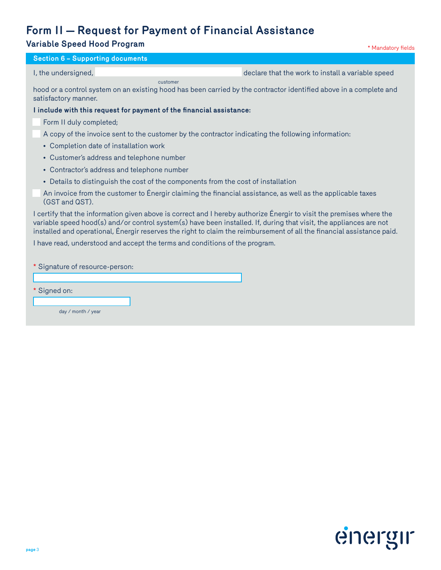| <b>Variable Speed Hood Program</b>                                                                                                                                                                                                                                                                                                                                   | * Mandatory fields                                |
|----------------------------------------------------------------------------------------------------------------------------------------------------------------------------------------------------------------------------------------------------------------------------------------------------------------------------------------------------------------------|---------------------------------------------------|
| <b>Section 6 - Supporting documents</b>                                                                                                                                                                                                                                                                                                                              |                                                   |
| I, the undersigned,                                                                                                                                                                                                                                                                                                                                                  | declare that the work to install a variable speed |
| customer<br>hood or a control system on an existing hood has been carried by the contractor identified above in a complete and<br>satisfactory manner.                                                                                                                                                                                                               |                                                   |
| I include with this request for payment of the financial assistance:                                                                                                                                                                                                                                                                                                 |                                                   |
| Form II duly completed;                                                                                                                                                                                                                                                                                                                                              |                                                   |
| A copy of the invoice sent to the customer by the contractor indicating the following information:                                                                                                                                                                                                                                                                   |                                                   |
| • Completion date of installation work                                                                                                                                                                                                                                                                                                                               |                                                   |
| • Customer's address and telephone number                                                                                                                                                                                                                                                                                                                            |                                                   |
| • Contractor's address and telephone number                                                                                                                                                                                                                                                                                                                          |                                                   |
| • Details to distinguish the cost of the components from the cost of installation                                                                                                                                                                                                                                                                                    |                                                   |
| An invoice from the customer to Energir claiming the financial assistance, as well as the applicable taxes<br>(GST and QST).                                                                                                                                                                                                                                         |                                                   |
| I certify that the information given above is correct and I hereby authorize Énergir to visit the premises where the<br>variable speed hood(s) and/or control system(s) have been installed. If, during that visit, the appliances are not<br>installed and operational, Énergir reserves the right to claim the reimbursement of all the financial assistance paid. |                                                   |
| I have read, understood and accept the terms and conditions of the program.                                                                                                                                                                                                                                                                                          |                                                   |
| Signature of resource-person:                                                                                                                                                                                                                                                                                                                                        |                                                   |

\* Signed on:

I

day / month / year

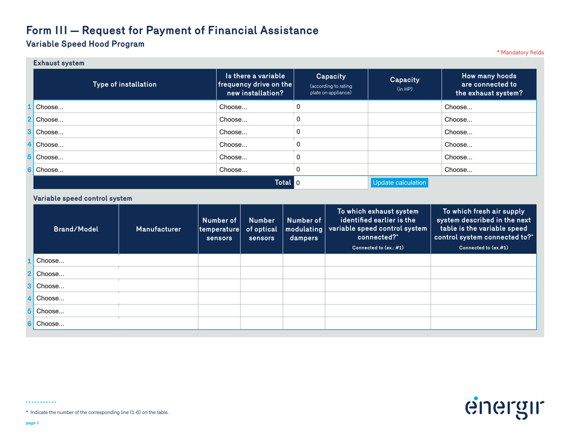#### **Variable Speed Hood Program**

\* Mandatory fields

energir

|    | <b>Exhaust system</b> |                                                                    |                                                                |                     |                                                           |
|----|-----------------------|--------------------------------------------------------------------|----------------------------------------------------------------|---------------------|-----------------------------------------------------------|
|    | Type of installation  | Is there a variable<br>frequency drive on the<br>new installation? | <b>Capacity</b><br>(according to rating<br>plate on appliance) | Capacity<br>(in HP) | How many hoods<br>are connected to<br>the exhaust system? |
|    | Choose                | Choose                                                             | 0                                                              |                     | Choose                                                    |
| r. | Choose                | Choose                                                             | 0                                                              |                     | Choose                                                    |
| 3  | Choose                | Choose                                                             | 0                                                              |                     | Choose                                                    |
|    | Choose                | Choose                                                             | 0                                                              |                     | Choose                                                    |
| 5  | Choose                | Choose                                                             | 0                                                              |                     | Choose                                                    |
|    | Choose                | Choose                                                             | 0                                                              |                     | Choose                                                    |
|    |                       | Total 0                                                            |                                                                | Update calculation  |                                                           |

#### **Variable speed control system**

|                | <b>Brand/Model</b> | Manufacturer | Number of<br>$ $ temperature $ $<br>sensors | <b>Number</b><br>of optical<br>sensors | Number of<br>modulating<br>dampers | To which exhaust system<br>identified earlier is the<br>variable speed control system<br>connected?*<br>Connected to (ex.: #1) | To which fresh air supply<br>system described in the next<br>table is the variable speed<br>control system connected to?*<br>Connected to (ex.#1) |
|----------------|--------------------|--------------|---------------------------------------------|----------------------------------------|------------------------------------|--------------------------------------------------------------------------------------------------------------------------------|---------------------------------------------------------------------------------------------------------------------------------------------------|
|                | Choose             |              |                                             |                                        |                                    |                                                                                                                                |                                                                                                                                                   |
| $\overline{2}$ | Choose             |              |                                             |                                        |                                    |                                                                                                                                |                                                                                                                                                   |
| 3              | Choose             |              |                                             |                                        |                                    |                                                                                                                                |                                                                                                                                                   |
|                | Choose             |              |                                             |                                        |                                    |                                                                                                                                |                                                                                                                                                   |
| 5              | Choose             |              |                                             |                                        |                                    |                                                                                                                                |                                                                                                                                                   |
|                | Choose             |              |                                             |                                        |                                    |                                                                                                                                |                                                                                                                                                   |

 $. . . . . . . . . . . .$ 

\* Indicate the number of the corresponding line (1-6) on the table.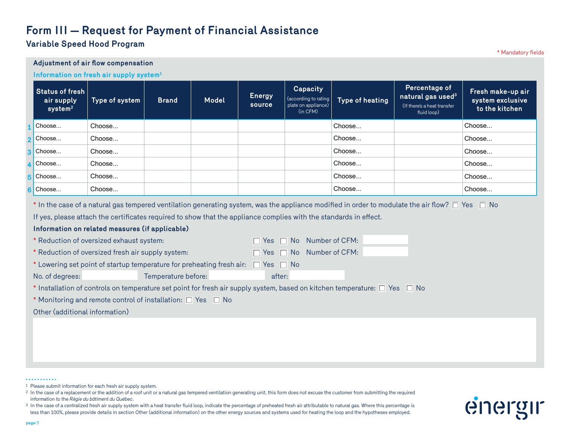#### **Variable Speed Hood Program**

\* Mandatory fields **Adjustment of air flow compensation Information on fresh air supply system1 Status of fresh air supply system2 Type of system Brand Model Energy source Capacity** (according to rating plate on appliance) (in CFM) **Type of heating Percentage of natural gas used3** (If there's a heat transfer fluid loop) **Fresh make-up air system exclusive to the kitchen**  $*$  In the case of a natural gas tempered ventilation generating system, was the appliance modified in order to modulate the air flow?  $\Box$  Yes  $\Box$  No If yes, please attach the certificates required to show that the appliance complies with the standards in effect. **Information on related measures (if applicable)** \* Reduction of oversized exhaust system:  $\Box$  Yes  $\Box$  No Number of CFM: \* Reduction of oversized fresh air supply system:  $\Box$  Yes  $\Box$  No Number of CFM: \* Lowering set point of startup temperature for preheating fresh air:  $\Box$  Yes  $\Box$  No No. of degrees: Temperature before: after: after: \* Installation of controls on temperature set point for fresh air supply system, based on kitchen temperature:  $\Box$  Yes  $\Box$  No \* Monitoring and remote control of installation:  $\Box$  Yes  $\Box$  No Other (additional information) **1 2 3 4 5 6** Choose... Choose... Choose... Choose... Choose... Choose... Choose... Choose... Choose... Choose... Choose... Choose... Choose... Choose... Choose... Choose... Choose... Choose... Choose... Choose... Choose... Choose... Choose... Choose...

#### . . . . . . . . . . .

<sup>1</sup> Please submit information for each fresh air supply system.

<sup>2</sup> In the case of a replacement or the addition of a roof unit or a natural gas tempered ventilation generating unit, this form does not excuse the customer from submitting the required information to the *Régie du bâtiment du Québec*.

<sup>3</sup> In the case of a centralized fresh air supply system with a heat transfer fluid loop, indicate the percentage of preheated fresh air attributable to natural gas. Where this percentage is less than 100%, please provide details in section Other (additional information) on the other energy sources and systems used for heating the loop and the hypotheses employed.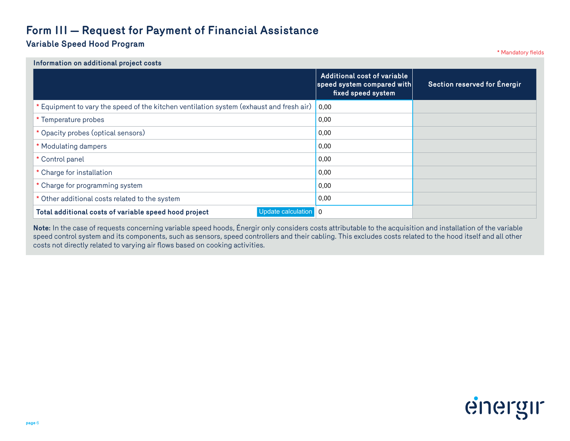#### **Variable Speed Hood Program**

\* Mandatory fields

| Information on additional project costs                                                 |                                                                                 |                              |
|-----------------------------------------------------------------------------------------|---------------------------------------------------------------------------------|------------------------------|
|                                                                                         | Additional cost of variable<br>speed system compared with<br>fixed speed system | Section reserved for Energir |
| * Equipment to vary the speed of the kitchen ventilation system (exhaust and fresh air) | 0,00                                                                            |                              |
| * Temperature probes                                                                    | 0,00                                                                            |                              |
| * Opacity probes (optical sensors)                                                      | 0,00                                                                            |                              |
| * Modulating dampers                                                                    | 0,00                                                                            |                              |
| * Control panel                                                                         | 0,00                                                                            |                              |
| * Charge for installation                                                               | 0,00                                                                            |                              |
| * Charge for programming system                                                         | 0,00                                                                            |                              |
| * Other additional costs related to the system                                          | 0,00                                                                            |                              |
| Total additional costs of variable speed hood project<br>Update calculation 0           |                                                                                 |                              |

**Note:** In the case of requests concerning variable speed hoods, Énergir only considers costs attributable to the acquisition and installation of the variable speed control system and its components, such as sensors, speed controllers and their cabling. This excludes costs related to the hood itself and all other costs not directly related to varying air flows based on cooking activities.